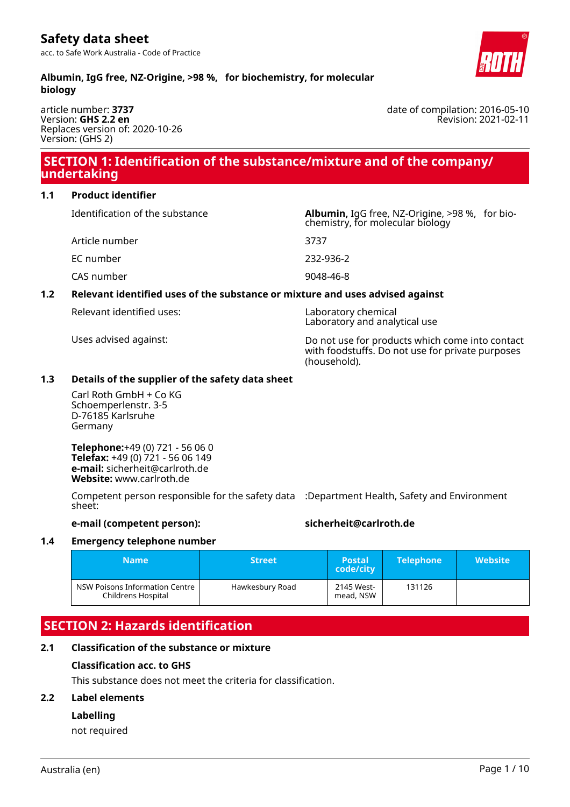### **Albumin, IgG free, NZ-Origine, >98 %, for biochemistry, for molecular biology**

article number: **3737** Version: **GHS 2.2 en** Replaces version of: 2020-10-26 Version: (GHS 2)

# **SECTION 1: Identification of the substance/mixture and of the company/ undertaking**

### **1.1 Product identifier**

Identification of the substance **Albumin,** IgG free, NZ-Origine, >98 %, for bio-

Article number 3737 EC number 232-936-2

CAS number 9048-46-8

# **1.2 Relevant identified uses of the substance or mixture and uses advised against**

Relevant identified uses: Laboratory chemical

Uses advised against: Do not use for products which come into contact with foodstuffs. Do not use for private purposes (household).

chemistry, for molecular biology

Laboratory and analytical use

# **1.3 Details of the supplier of the safety data sheet**

Carl Roth GmbH + Co KG Schoemperlenstr. 3-5 D-76185 Karlsruhe Germany

**Telephone:**+49 (0) 721 - 56 06 0 **Telefax:** +49 (0) 721 - 56 06 149 **e-mail:** sicherheit@carlroth.de **Website:** www.carlroth.de

Competent person responsible for the safety data :Department Health, Safety and Environment sheet:

# **e-mail (competent person): sicherheit@carlroth.de**

# **1.4 Emergency telephone number**

| <b>Name</b>                                          | <b>Street</b>   | <b>Postal</b><br>code/city | <b>Telephone</b> | <b>Website</b> |
|------------------------------------------------------|-----------------|----------------------------|------------------|----------------|
| NSW Poisons Information Centre<br>Childrens Hospital | Hawkesbury Road | 2145 West-<br>mead, NSW    | 131126           |                |

# **SECTION 2: Hazards identification**

# **2.1 Classification of the substance or mixture**

# **Classification acc. to GHS**

This substance does not meet the criteria for classification.

# **2.2 Label elements**

# **Labelling**

not required



date of compilation: 2016-05-10 Revision: 2021-02-11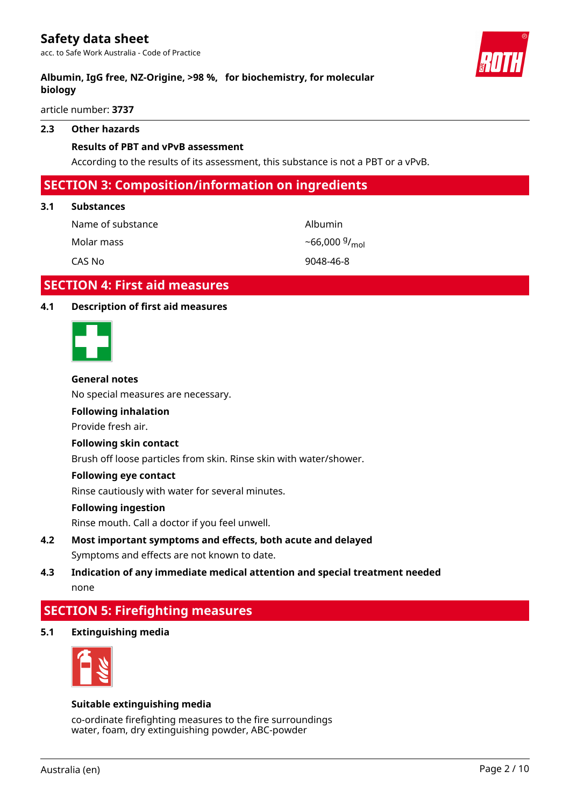acc. to Safe Work Australia - Code of Practice

### **Albumin, IgG free, NZ-Origine, >98 %, for biochemistry, for molecular biology**

article number: **3737**

#### **2.3 Other hazards**

#### **Results of PBT and vPvB assessment**

According to the results of its assessment, this substance is not a PBT or a vPvB.

## **SECTION 3: Composition/information on ingredients**

#### **3.1 Substances**

Name of substance and albumin Molar mass  $-66,000\frac{9}{mol}$ CAS No 9048-46-8

# **SECTION 4: First aid measures**

#### **4.1 Description of first aid measures**



#### **General notes**

No special measures are necessary.

#### **Following inhalation**

Provide fresh air.

#### **Following skin contact**

Brush off loose particles from skin. Rinse skin with water/shower.

#### **Following eye contact**

Rinse cautiously with water for several minutes.

#### **Following ingestion**

Rinse mouth. Call a doctor if you feel unwell.

- **4.2 Most important symptoms and effects, both acute and delayed** Symptoms and effects are not known to date.
- **4.3 Indication of any immediate medical attention and special treatment needed** none

# **SECTION 5: Firefighting measures**

**5.1 Extinguishing media**



#### **Suitable extinguishing media**

co-ordinate firefighting measures to the fire surroundings water, foam, dry extinguishing powder, ABC-powder

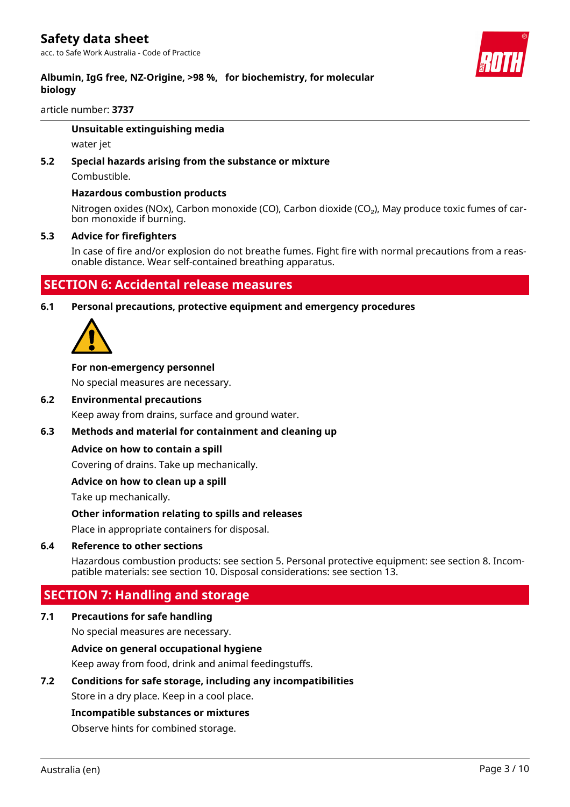

article number: **3737**

#### **Unsuitable extinguishing media**

water jet

# **5.2 Special hazards arising from the substance or mixture**

Combustible.

#### **Hazardous combustion products**

Nitrogen oxides (NOx), Carbon monoxide (CO), Carbon dioxide (CO<sub>2</sub>), May produce toxic fumes of carbon monoxide if burning.

#### **5.3 Advice for firefighters**

In case of fire and/or explosion do not breathe fumes. Fight fire with normal precautions from a reasonable distance. Wear self-contained breathing apparatus.

# **SECTION 6: Accidental release measures**

**6.1 Personal precautions, protective equipment and emergency procedures**



#### **For non-emergency personnel**

No special measures are necessary.

#### **6.2 Environmental precautions**

Keep away from drains, surface and ground water.

#### **6.3 Methods and material for containment and cleaning up**

#### **Advice on how to contain a spill**

Covering of drains. Take up mechanically.

#### **Advice on how to clean up a spill**

Take up mechanically.

#### **Other information relating to spills and releases**

Place in appropriate containers for disposal.

#### **6.4 Reference to other sections**

Hazardous combustion products: see section 5. Personal protective equipment: see section 8. Incompatible materials: see section 10. Disposal considerations: see section 13.

# **SECTION 7: Handling and storage**

#### **7.1 Precautions for safe handling**

No special measures are necessary.

#### **Advice on general occupational hygiene**

Keep away from food, drink and animal feedingstuffs.

#### **7.2 Conditions for safe storage, including any incompatibilities**

Store in a dry place. Keep in a cool place.

#### **Incompatible substances or mixtures**

Observe hints for combined storage.

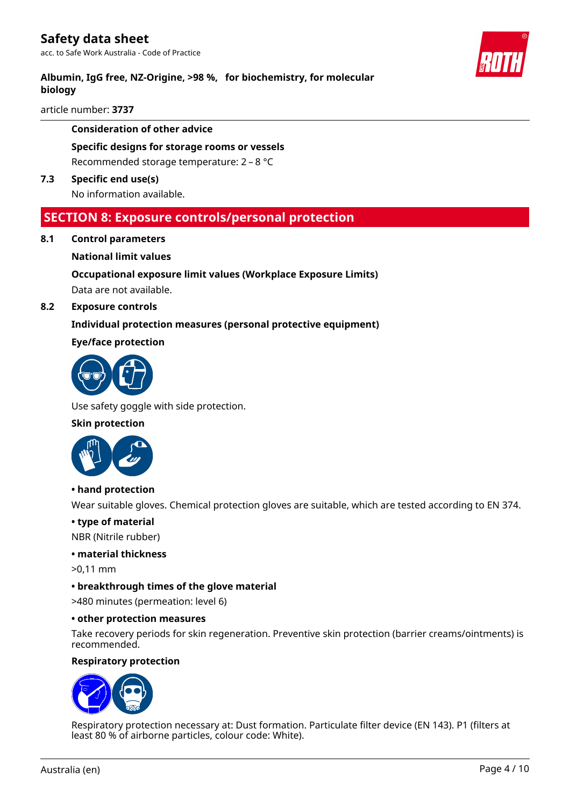acc. to Safe Work Australia - Code of Practice

### **Albumin, IgG free, NZ-Origine, >98 %, for biochemistry, for molecular biology**

article number: **3737**

#### **Consideration of other advice**

# **Specific designs for storage rooms or vessels**

Recommended storage temperature: 2 – 8 °C

#### **7.3 Specific end use(s)**

No information available.

### **SECTION 8: Exposure controls/personal protection**

**8.1 Control parameters**

#### **National limit values**

# **Occupational exposure limit values (Workplace Exposure Limits)** Data are not available.

#### **8.2 Exposure controls**

#### **Individual protection measures (personal protective equipment)**

#### **Eye/face protection**



Use safety goggle with side protection.

#### **Skin protection**



#### **• hand protection**

Wear suitable gloves. Chemical protection gloves are suitable, which are tested according to EN 374.

#### **• type of material**

NBR (Nitrile rubber)

#### **• material thickness**

- >0,11 mm
- **breakthrough times of the glove material**

>480 minutes (permeation: level 6)

#### **• other protection measures**

Take recovery periods for skin regeneration. Preventive skin protection (barrier creams/ointments) is recommended.

#### **Respiratory protection**



Respiratory protection necessary at: Dust formation. Particulate filter device (EN 143). P1 (filters at least 80 % of airborne particles, colour code: White).

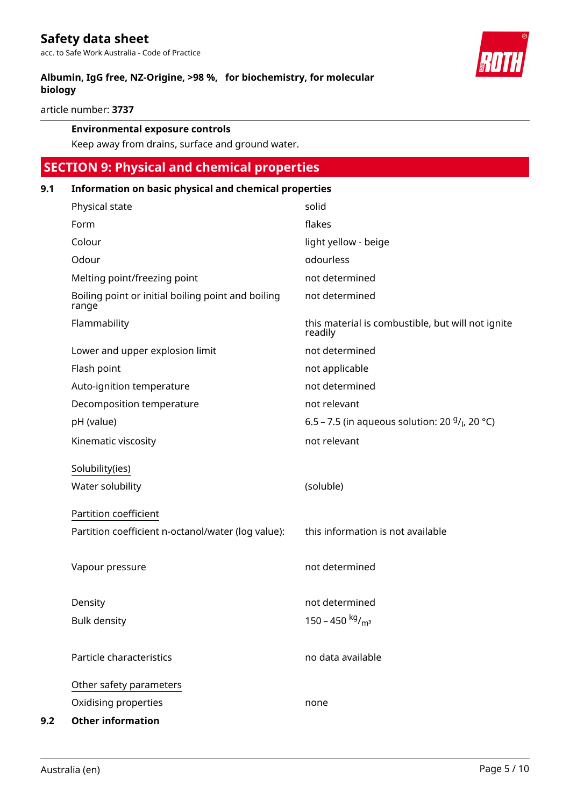**Albumin, IgG free, NZ-Origine, >98 %, for biochemistry, for molecular biology**

article number: **3737**

#### **Environmental exposure controls**

Keep away from drains, surface and ground water.

# **SECTION 9: Physical and chemical properties**

| 9.1 | Information on basic physical and chemical properties       |                                                              |  |
|-----|-------------------------------------------------------------|--------------------------------------------------------------|--|
|     | Physical state                                              | solid                                                        |  |
|     | Form                                                        | flakes                                                       |  |
|     | Colour                                                      | light yellow - beige                                         |  |
|     | Odour                                                       | odourless                                                    |  |
|     | Melting point/freezing point                                | not determined                                               |  |
|     | Boiling point or initial boiling point and boiling<br>range | not determined                                               |  |
|     | Flammability                                                | this material is combustible, but will not ignite<br>readily |  |
|     | Lower and upper explosion limit                             | not determined                                               |  |
|     | Flash point                                                 | not applicable                                               |  |
|     | Auto-ignition temperature                                   | not determined                                               |  |
|     | Decomposition temperature                                   | not relevant                                                 |  |
|     | pH (value)                                                  | 6.5 – 7.5 (in aqueous solution: 20 $9/$ , 20 °C)             |  |
|     | Kinematic viscosity                                         | not relevant                                                 |  |
|     | Solubility(ies)                                             |                                                              |  |
|     | Water solubility                                            | (soluble)                                                    |  |
|     | Partition coefficient                                       |                                                              |  |
|     | Partition coefficient n-octanol/water (log value):          | this information is not available                            |  |
|     | Vapour pressure                                             | not determined                                               |  |
|     | Density                                                     | not determined                                               |  |
|     | <b>Bulk density</b>                                         | 150 - 450 kg/m <sup>3</sup>                                  |  |
|     |                                                             |                                                              |  |
|     | Particle characteristics                                    | no data available                                            |  |
|     | Other safety parameters                                     |                                                              |  |
|     | Oxidising properties                                        | none                                                         |  |
| 9.2 | <b>Other information</b>                                    |                                                              |  |

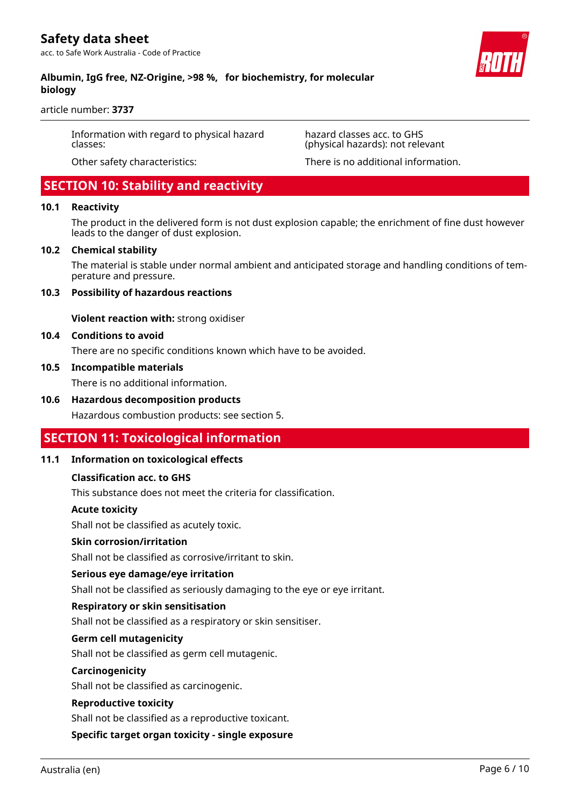### **Albumin, IgG free, NZ-Origine, >98 %, for biochemistry, for molecular biology**

article number: **3737**

Information with regard to physical hazard classes:

Other safety characteristics: There is no additional information.

(physical hazards): not relevant

hazard classes acc. to GHS

 **SECTION 10: Stability and reactivity**

#### **10.1 Reactivity**

The product in the delivered form is not dust explosion capable; the enrichment of fine dust however leads to the danger of dust explosion.

#### **10.2 Chemical stability**

The material is stable under normal ambient and anticipated storage and handling conditions of temperature and pressure.

#### **10.3 Possibility of hazardous reactions**

**Violent reaction with:** strong oxidiser

#### **10.4 Conditions to avoid**

There are no specific conditions known which have to be avoided.

#### **10.5 Incompatible materials**

There is no additional information.

#### **10.6 Hazardous decomposition products**

Hazardous combustion products: see section 5.

#### **SECTION 11: Toxicological information**

#### **11.1 Information on toxicological effects**

#### **Classification acc. to GHS**

This substance does not meet the criteria for classification.

#### **Acute toxicity**

Shall not be classified as acutely toxic.

#### **Skin corrosion/irritation**

Shall not be classified as corrosive/irritant to skin.

#### **Serious eye damage/eye irritation**

Shall not be classified as seriously damaging to the eye or eye irritant.

#### **Respiratory or skin sensitisation**

Shall not be classified as a respiratory or skin sensitiser.

#### **Germ cell mutagenicity**

Shall not be classified as germ cell mutagenic.

#### **Carcinogenicity**

Shall not be classified as carcinogenic.

#### **Reproductive toxicity**

Shall not be classified as a reproductive toxicant.

**Specific target organ toxicity - single exposure**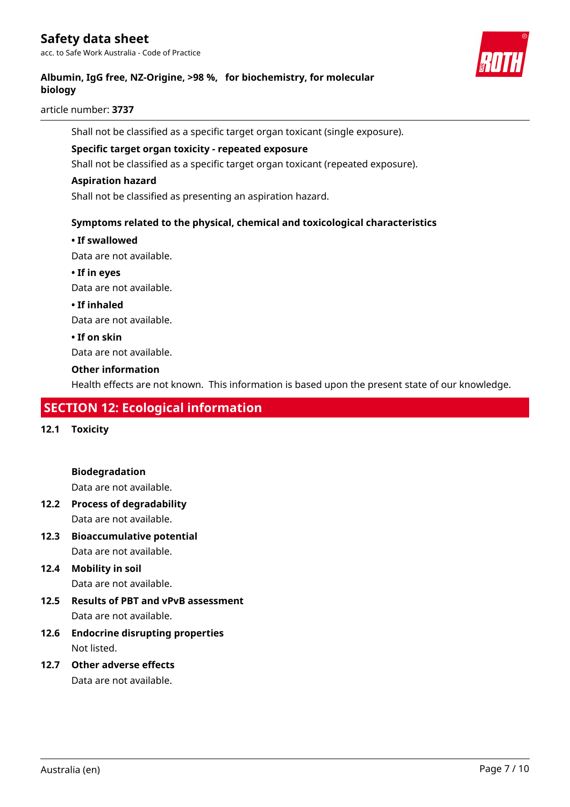# **Safety data sheet**

acc. to Safe Work Australia - Code of Practice



### **Albumin, IgG free, NZ-Origine, >98 %, for biochemistry, for molecular biology**

article number: **3737**

Shall not be classified as a specific target organ toxicant (single exposure).

#### **Specific target organ toxicity - repeated exposure**

Shall not be classified as a specific target organ toxicant (repeated exposure).

#### **Aspiration hazard**

Shall not be classified as presenting an aspiration hazard.

#### **Symptoms related to the physical, chemical and toxicological characteristics**

#### **• If swallowed**

Data are not available.

**• If in eyes**

Data are not available.

#### **• If inhaled**

Data are not available.

#### **• If on skin**

Data are not available.

#### **Other information**

Health effects are not known. This information is based upon the present state of our knowledge.

# **SECTION 12: Ecological information**

**12.1 Toxicity**

**Biodegradation**

Data are not available.

- **12.2 Process of degradability** Data are not available.
- **12.3 Bioaccumulative potential** Data are not available.
- **12.4 Mobility in soil** Data are not available.
- **12.5 Results of PBT and vPvB assessment** Data are not available.
- **12.6 Endocrine disrupting properties** Not listed.
- **12.7 Other adverse effects** Data are not available.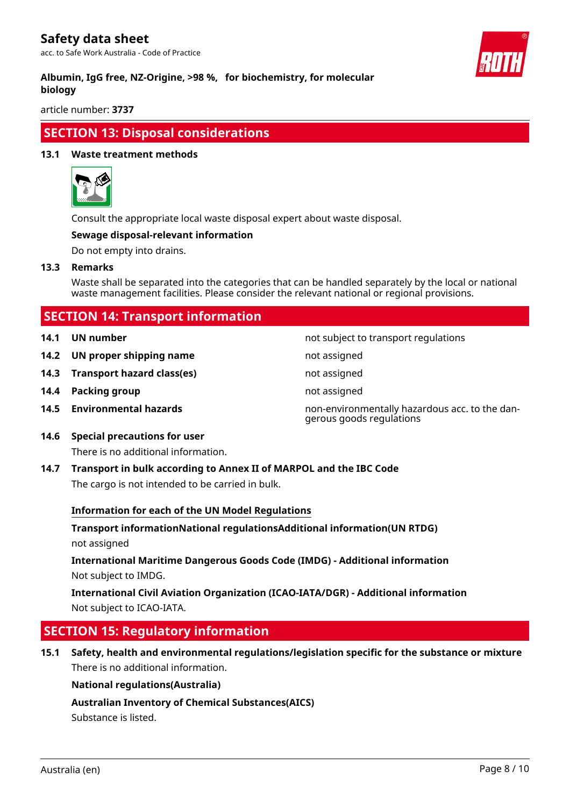# **Safety data sheet**

acc. to Safe Work Australia - Code of Practice



#### **Albumin, IgG free, NZ-Origine, >98 %, for biochemistry, for molecular biology**

article number: **3737**

# **SECTION 13: Disposal considerations**

#### **13.1 Waste treatment methods**



Consult the appropriate local waste disposal expert about waste disposal.

#### **Sewage disposal-relevant information**

Do not empty into drains.

**13.3 Remarks**

Waste shall be separated into the categories that can be handled separately by the local or national waste management facilities. Please consider the relevant national or regional provisions.

gerous goods regulations

# **SECTION 14: Transport information**

- **14.1 UN number 14.1 UN** number
- **14.2 UN proper shipping name** not assigned
- **14.3 Transport hazard class(es)** not assigned
- **14.4 Packing group not assigned**
- **14.5 Environmental hazards** non-environmentally hazardous acc. to the dan-
- **14.6 Special precautions for user**

There is no additional information.

**14.7 Transport in bulk according to Annex II of MARPOL and the IBC Code** The cargo is not intended to be carried in bulk.

#### **Information for each of the UN Model Regulations**

**Transport informationNational regulationsAdditional information(UN RTDG)** not assigned

**International Maritime Dangerous Goods Code (IMDG) - Additional information** Not subject to IMDG.

**International Civil Aviation Organization (ICAO-IATA/DGR) - Additional information** Not subject to ICAO-IATA.

# **SECTION 15: Regulatory information**

**15.1 Safety, health and environmental regulations/legislation specific for the substance or mixture** There is no additional information.

#### **National regulations(Australia)**

#### **Australian Inventory of Chemical Substances(AICS)**

Substance is listed.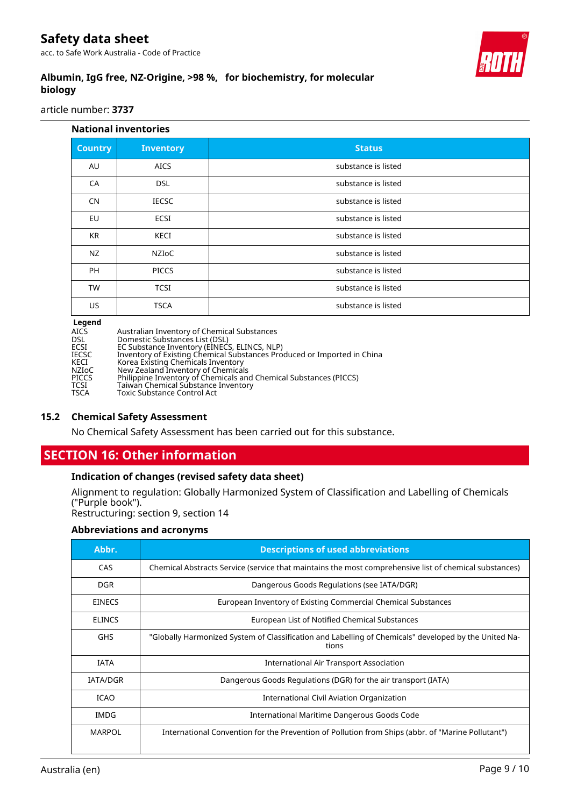# **Safety data sheet**

acc. to Safe Work Australia - Code of Practice



# **Albumin, IgG free, NZ-Origine, >98 %, for biochemistry, for molecular biology**

article number: **3737**

| <b>National inventories</b> |                  |                     |  |
|-----------------------------|------------------|---------------------|--|
| <b>Country</b>              | <b>Inventory</b> | <b>Status</b>       |  |
| AU                          | <b>AICS</b>      | substance is listed |  |
| CA                          | <b>DSL</b>       | substance is listed |  |
| <b>CN</b>                   | <b>IECSC</b>     | substance is listed |  |
| EU                          | ECSI             | substance is listed |  |
| <b>KR</b>                   | <b>KECI</b>      | substance is listed |  |
| NZ                          | <b>NZIOC</b>     | substance is listed |  |
| <b>PH</b>                   | <b>PICCS</b>     | substance is listed |  |
| <b>TW</b>                   | <b>TCSI</b>      | substance is listed |  |
| US                          | <b>TSCA</b>      | substance is listed |  |

**Legend**

| ------ |                                                                         |
|--------|-------------------------------------------------------------------------|
| AICS   | Australian Inventory of Chemical Substances                             |
| DSL    | Domestic Substances List (DSL)                                          |
| ECSI   | EC Substance Inventory (EINECS, ELINCS, NLP)                            |
| IECSC  | Inventory of Existing Chemical Substances Produced or Imported in China |
| KECI   | Korea Existing Chemicals Inventory                                      |
| NZIoC  | New Zealand Inventory of Chemicals                                      |
| PICCS  | Philippine Inventory of Chemicals and Chemical Substances (PICCS)       |
| TCSI   | Taiwan Chemical Substance Inventory                                     |
| TSCA   | <b>Toxic Substance Control Act</b>                                      |
|        |                                                                         |

#### **15.2 Chemical Safety Assessment**

No Chemical Safety Assessment has been carried out for this substance.

# **SECTION 16: Other information**

#### **Indication of changes (revised safety data sheet)**

Alignment to regulation: Globally Harmonized System of Classification and Labelling of Chemicals ("Purple book").

Restructuring: section 9, section 14

#### **Abbreviations and acronyms**

| Abbr.         | <b>Descriptions of used abbreviations</b>                                                                      |  |
|---------------|----------------------------------------------------------------------------------------------------------------|--|
| CAS           | Chemical Abstracts Service (service that maintains the most comprehensive list of chemical substances)         |  |
| DGR.          | Dangerous Goods Regulations (see IATA/DGR)                                                                     |  |
| <b>EINECS</b> | European Inventory of Existing Commercial Chemical Substances                                                  |  |
| <b>ELINCS</b> | European List of Notified Chemical Substances                                                                  |  |
| <b>GHS</b>    | "Globally Harmonized System of Classification and Labelling of Chemicals" developed by the United Na-<br>tions |  |
| IATA          | <b>International Air Transport Association</b>                                                                 |  |
| IATA/DGR      | Dangerous Goods Regulations (DGR) for the air transport (IATA)                                                 |  |
| <b>ICAO</b>   | International Civil Aviation Organization                                                                      |  |
| IMDG          | International Maritime Dangerous Goods Code                                                                    |  |
| <b>MARPOL</b> | International Convention for the Prevention of Pollution from Ships (abbr. of "Marine Pollutant")              |  |